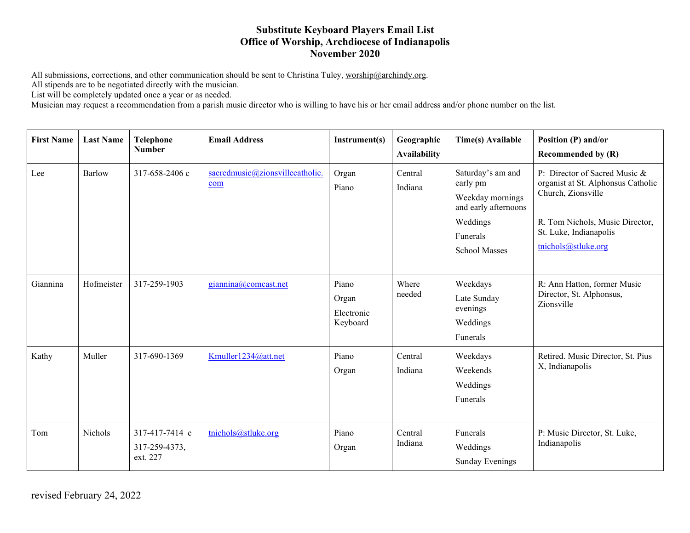## **Substitute Keyboard Players Email List Office of Worship, Archdiocese of Indianapolis November 2020**

All submissions, corrections, and other communication should be sent to Christina Tuley, worship@archindy.org.

All stipends are to be negotiated directly with the musician.

List will be completely updated once a year or as needed.

Musician may request a recommendation from a parish music director who is willing to have his or her email address and/or phone number on the list.

| <b>First Name</b> | <b>Last Name</b> | <b>Telephone</b><br><b>Number</b>           | <b>Email Address</b>                   | Instrument(s)                            | Geographic<br><b>Availability</b> | <b>Time(s)</b> Available                                                                                                  | Position (P) and/or<br><b>Recommended by (R)</b>                                                                                                                              |
|-------------------|------------------|---------------------------------------------|----------------------------------------|------------------------------------------|-----------------------------------|---------------------------------------------------------------------------------------------------------------------------|-------------------------------------------------------------------------------------------------------------------------------------------------------------------------------|
| Lee               | <b>Barlow</b>    | 317-658-2406 с                              | sacredmusic@zionsvillecatholic.<br>com | Organ<br>Piano                           | Central<br>Indiana                | Saturday's am and<br>early pm<br>Weekday mornings<br>and early afternoons<br>Weddings<br>Funerals<br><b>School Masses</b> | P: Director of Sacred Music &<br>organist at St. Alphonsus Catholic<br>Church, Zionsville<br>R. Tom Nichols, Music Director,<br>St. Luke, Indianapolis<br>tnichols@stluke.org |
| Giannina          | Hofmeister       | 317-259-1903                                | giannina@comcast.net                   | Piano<br>Organ<br>Electronic<br>Keyboard | Where<br>needed                   | Weekdays<br>Late Sunday<br>evenings<br>Weddings<br>Funerals                                                               | R: Ann Hatton, former Music<br>Director, St. Alphonsus,<br>Zionsville                                                                                                         |
| Kathy             | Muller           | 317-690-1369                                | Kmuller1234@att.net                    | Piano<br>Organ                           | Central<br>Indiana                | Weekdays<br>Weekends<br>Weddings<br>Funerals                                                                              | Retired. Music Director, St. Pius<br>X, Indianapolis                                                                                                                          |
| Tom               | Nichols          | 317-417-7414 c<br>317-259-4373,<br>ext. 227 | tnichols@stluke.org                    | Piano<br>Organ                           | Central<br>Indiana                | Funerals<br>Weddings<br><b>Sunday Evenings</b>                                                                            | P: Music Director, St. Luke,<br>Indianapolis                                                                                                                                  |